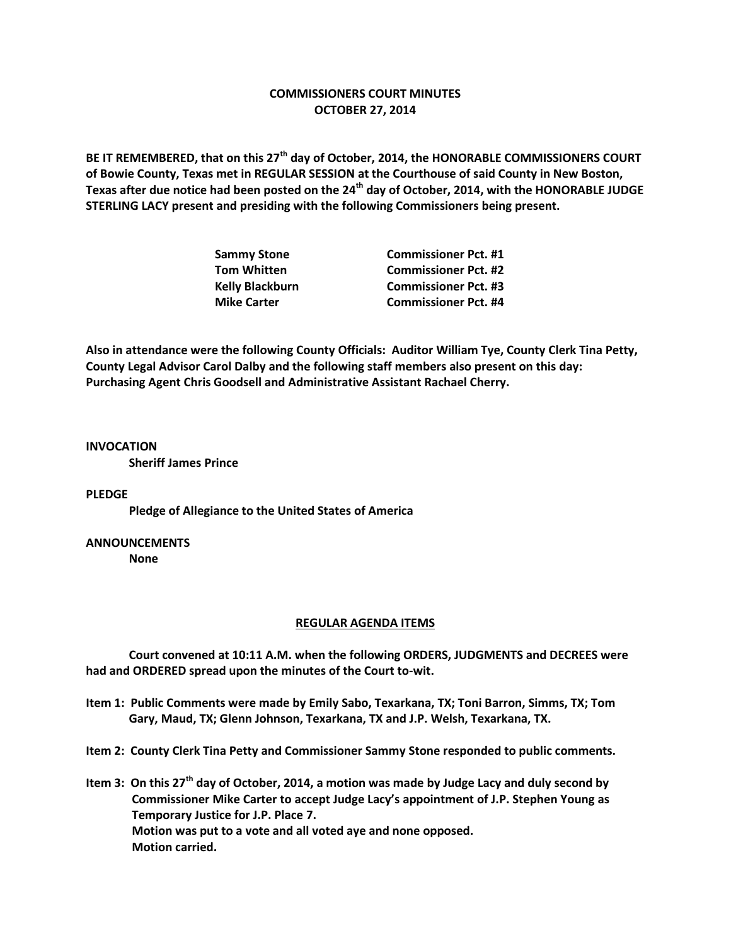### **COMMISSIONERS COURT MINUTES OCTOBER 27, 2014**

**BE IT REMEMBERED, that on this 27th day of October, 2014, the HONORABLE COMMISSIONERS COURT of Bowie County, Texas met in REGULAR SESSION at the Courthouse of said County in New Boston, Texas after due notice had been posted on the 24th day of October, 2014, with the HONORABLE JUDGE STERLING LACY present and presiding with the following Commissioners being present.**

| <b>Commissioner Pct. #1</b> |
|-----------------------------|
| <b>Commissioner Pct. #2</b> |
| <b>Commissioner Pct. #3</b> |
| <b>Commissioner Pct. #4</b> |
|                             |

**Also in attendance were the following County Officials: Auditor William Tye, County Clerk Tina Petty, County Legal Advisor Carol Dalby and the following staff members also present on this day: Purchasing Agent Chris Goodsell and Administrative Assistant Rachael Cherry.**

**INVOCATION Sheriff James Prince**

#### **PLEDGE**

**Pledge of Allegiance to the United States of America**

## **ANNOUNCEMENTS**

**None**

#### **REGULAR AGENDA ITEMS**

**Court convened at 10:11 A.M. when the following ORDERS, JUDGMENTS and DECREES were had and ORDERED spread upon the minutes of the Court to-wit.**

- **Item 1: Public Comments were made by Emily Sabo, Texarkana, TX; Toni Barron, Simms, TX; Tom Gary, Maud, TX; Glenn Johnson, Texarkana, TX and J.P. Welsh, Texarkana, TX.**
- **Item 2: County Clerk Tina Petty and Commissioner Sammy Stone responded to public comments.**
- **Item 3: On this 27th day of October, 2014, a motion was made by Judge Lacy and duly second by Commissioner Mike Carter to accept Judge Lacy's appointment of J.P. Stephen Young as Temporary Justice for J.P. Place 7. Motion was put to a vote and all voted aye and none opposed. Motion carried.**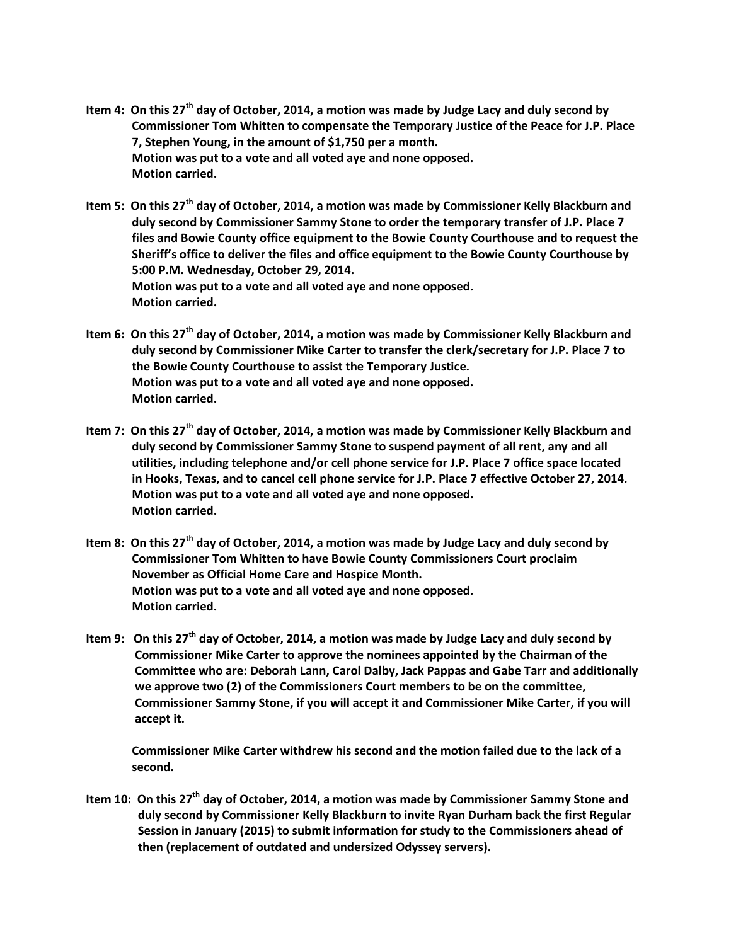- **Item 4: On this 27th day of October, 2014, a motion was made by Judge Lacy and duly second by Commissioner Tom Whitten to compensate the Temporary Justice of the Peace for J.P. Place 7, Stephen Young, in the amount of \$1,750 per a month. Motion was put to a vote and all voted aye and none opposed. Motion carried.**
- **Item 5: On this 27th day of October, 2014, a motion was made by Commissioner Kelly Blackburn and duly second by Commissioner Sammy Stone to order the temporary transfer of J.P. Place 7 files and Bowie County office equipment to the Bowie County Courthouse and to request the Sheriff's office to deliver the files and office equipment to the Bowie County Courthouse by 5:00 P.M. Wednesday, October 29, 2014. Motion was put to a vote and all voted aye and none opposed. Motion carried.**
- **Item 6: On this 27th day of October, 2014, a motion was made by Commissioner Kelly Blackburn and duly second by Commissioner Mike Carter to transfer the clerk/secretary for J.P. Place 7 to the Bowie County Courthouse to assist the Temporary Justice. Motion was put to a vote and all voted aye and none opposed. Motion carried.**
- **Item 7: On this 27th day of October, 2014, a motion was made by Commissioner Kelly Blackburn and duly second by Commissioner Sammy Stone to suspend payment of all rent, any and all utilities, including telephone and/or cell phone service for J.P. Place 7 office space located in Hooks, Texas, and to cancel cell phone service for J.P. Place 7 effective October 27, 2014. Motion was put to a vote and all voted aye and none opposed. Motion carried.**
- **Item 8: On this 27th day of October, 2014, a motion was made by Judge Lacy and duly second by Commissioner Tom Whitten to have Bowie County Commissioners Court proclaim November as Official Home Care and Hospice Month. Motion was put to a vote and all voted aye and none opposed. Motion carried.**
- **Item 9: On this 27th day of October, 2014, a motion was made by Judge Lacy and duly second by Commissioner Mike Carter to approve the nominees appointed by the Chairman of the Committee who are: Deborah Lann, Carol Dalby, Jack Pappas and Gabe Tarr and additionally we approve two (2) of the Commissioners Court members to be on the committee, Commissioner Sammy Stone, if you will accept it and Commissioner Mike Carter, if you will accept it.**

**Commissioner Mike Carter withdrew his second and the motion failed due to the lack of a second.**

**Item 10: On this 27th day of October, 2014, a motion was made by Commissioner Sammy Stone and duly second by Commissioner Kelly Blackburn to invite Ryan Durham back the first Regular Session in January (2015) to submit information for study to the Commissioners ahead of then (replacement of outdated and undersized Odyssey servers).**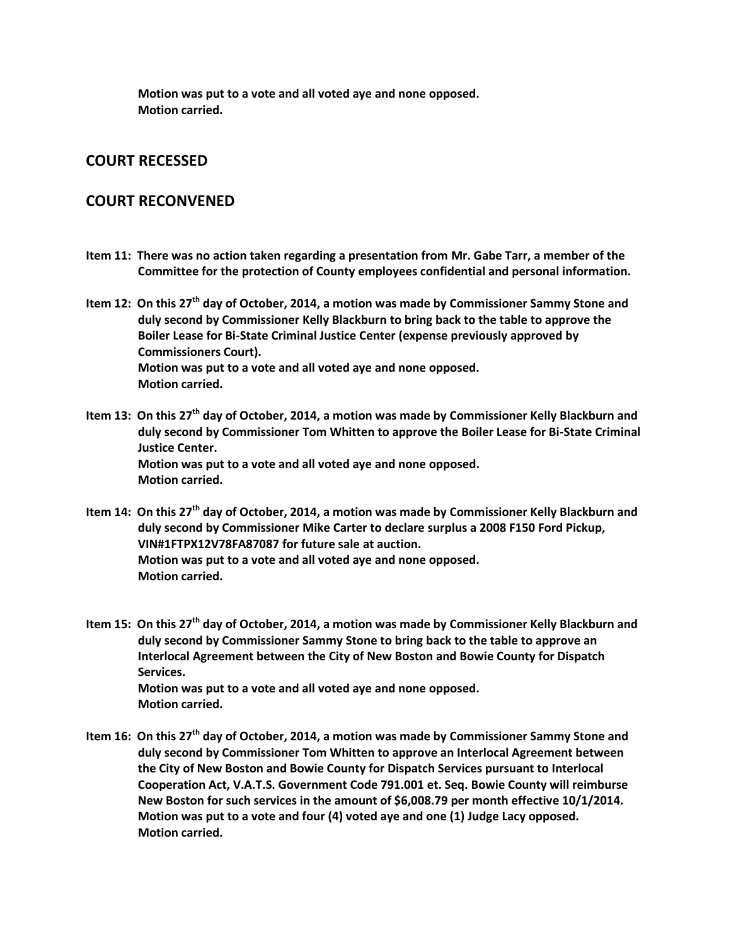**Motion was put to a vote and all voted aye and none opposed. Motion carried.**

# **COURT RECESSED**

## **COURT RECONVENED**

**Item 11: There was no action taken regarding a presentation from Mr. Gabe Tarr, a member of the Committee for the protection of County employees confidential and personal information.**

**Item 12: On this 27th day of October, 2014, a motion was made by Commissioner Sammy Stone and duly second by Commissioner Kelly Blackburn to bring back to the table to approve the Boiler Lease for Bi-State Criminal Justice Center (expense previously approved by Commissioners Court). Motion was put to a vote and all voted aye and none opposed. Motion carried.**

- **Item 13: On this 27th day of October, 2014, a motion was made by Commissioner Kelly Blackburn and duly second by Commissioner Tom Whitten to approve the Boiler Lease for Bi-State Criminal Justice Center. Motion was put to a vote and all voted aye and none opposed. Motion carried.**
- **Item 14: On this 27th day of October, 2014, a motion was made by Commissioner Kelly Blackburn and duly second by Commissioner Mike Carter to declare surplus a 2008 F150 Ford Pickup, VIN#1FTPX12V78FA87087 for future sale at auction. Motion was put to a vote and all voted aye and none opposed. Motion carried.**

**Item 15: On this 27th day of October, 2014, a motion was made by Commissioner Kelly Blackburn and duly second by Commissioner Sammy Stone to bring back to the table to approve an Interlocal Agreement between the City of New Boston and Bowie County for Dispatch Services. Motion was put to a vote and all voted aye and none opposed. Motion carried.**

**Item 16: On this 27th day of October, 2014, a motion was made by Commissioner Sammy Stone and duly second by Commissioner Tom Whitten to approve an Interlocal Agreement between the City of New Boston and Bowie County for Dispatch Services pursuant to Interlocal Cooperation Act, V.A.T.S. Government Code 791.001 et. Seq. Bowie County will reimburse New Boston for such services in the amount of \$6,008.79 per month effective 10/1/2014. Motion was put to a vote and four (4) voted aye and one (1) Judge Lacy opposed. Motion carried.**